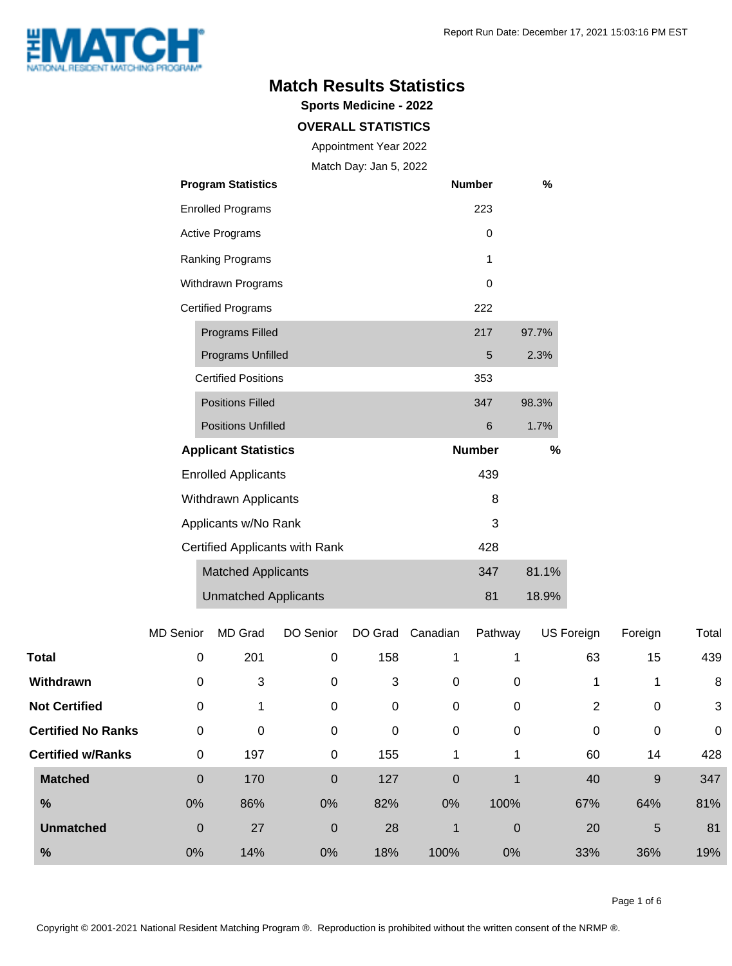

### **Match Results Statistics**

**Sports Medicine - 2022**

#### **OVERALL STATISTICS**

Appointment Year 2022

Match Day: Jan 5, 2022

| <b>Program Statistics</b>      | <b>Number</b> | %     |
|--------------------------------|---------------|-------|
| <b>Enrolled Programs</b>       | 223           |       |
| <b>Active Programs</b>         | $\Omega$      |       |
| Ranking Programs               | 1             |       |
| Withdrawn Programs             | 0             |       |
| <b>Certified Programs</b>      | 222           |       |
| <b>Programs Filled</b>         | 217           | 97.7% |
| <b>Programs Unfilled</b>       | 5             | 2.3%  |
| <b>Certified Positions</b>     | 353           |       |
| <b>Positions Filled</b>        | 347           | 98.3% |
| <b>Positions Unfilled</b>      | 6             | 1.7%  |
| <b>Applicant Statistics</b>    | <b>Number</b> | %     |
| <b>Enrolled Applicants</b>     | 439           |       |
| Withdrawn Applicants           | 8             |       |
| Applicants w/No Rank           | 3             |       |
| Certified Applicants with Rank | 428           |       |
| <b>Matched Applicants</b>      | 347           | 81.1% |
| <b>Unmatched Applicants</b>    | 81            | 18.9% |

|                           | <b>MD Senior</b> | <b>MD Grad</b> | DO Senior      | DO Grad | Canadian    | Pathway     | US Foreign | Foreign     | Total       |
|---------------------------|------------------|----------------|----------------|---------|-------------|-------------|------------|-------------|-------------|
| <b>Total</b>              | $\boldsymbol{0}$ | 201            | $\Omega$       | 158     | 1           | 1           | 63         | 15          | 439         |
| Withdrawn                 | 0                | 3              | 0              | 3       | $\mathbf 0$ | 0           |            | 1           | 8           |
| <b>Not Certified</b>      | $\mathbf 0$      |                | 0              | 0       | $\mathbf 0$ | 0           | 2          | 0           | 3           |
| <b>Certified No Ranks</b> | $\mathbf 0$      | 0              | 0              | 0       | $\mathbf 0$ | 0           | 0          | $\mathbf 0$ | $\mathbf 0$ |
| <b>Certified w/Ranks</b>  | $\mathbf 0$      | 197            | 0              | 155     | 1           | 1           | 60         | 14          | 428         |
| <b>Matched</b>            | $\mathbf 0$      | 170            | 0              | 127     | $\mathbf 0$ | 1           | 40         | 9           | 347         |
| $\frac{0}{0}$             | 0%               | 86%            | 0%             | 82%     | 0%          | 100%        | 67%        | 64%         | 81%         |
| <b>Unmatched</b>          | $\mathbf 0$      | 27             | $\overline{0}$ | 28      | $\mathbf 1$ | $\mathbf 0$ | 20         | 5           | 81          |
| $\frac{0}{0}$             | 0%               | 14%            | 0%             | 18%     | 100%        | 0%          | 33%        | 36%         | 19%         |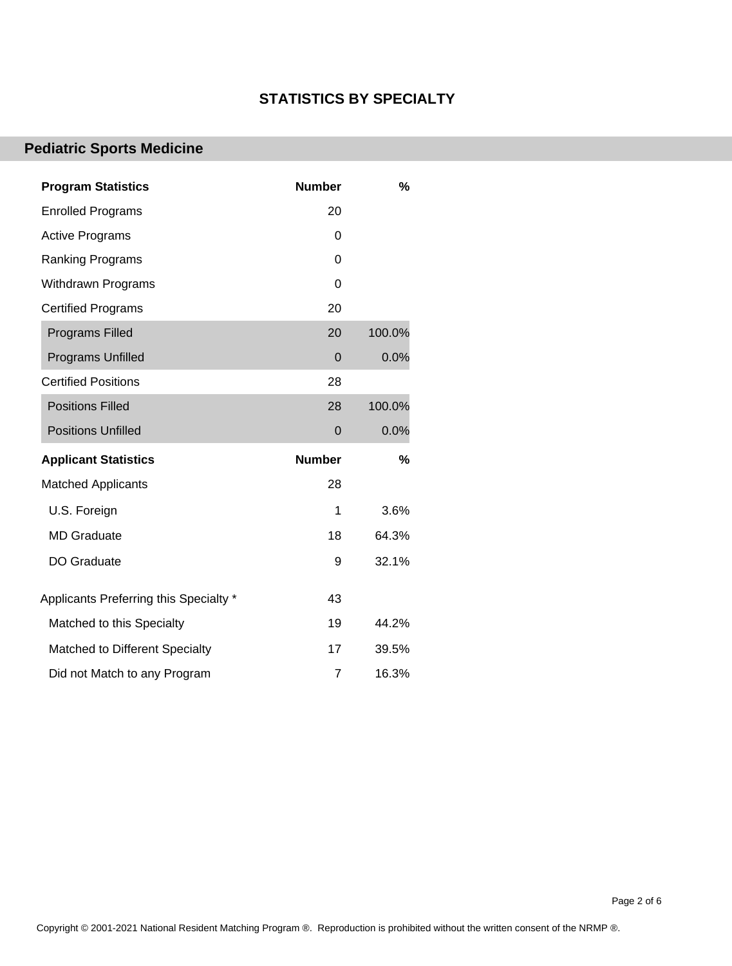#### **STATISTICS BY SPECIALTY**

## **Pediatric Sports Medicine**

| <b>Program Statistics</b>              | <b>Number</b> | %      |
|----------------------------------------|---------------|--------|
| <b>Enrolled Programs</b>               | 20            |        |
| <b>Active Programs</b>                 | 0             |        |
| Ranking Programs                       | 0             |        |
| <b>Withdrawn Programs</b>              | 0             |        |
| <b>Certified Programs</b>              | 20            |        |
| <b>Programs Filled</b>                 | 20            | 100.0% |
| Programs Unfilled                      | 0             | 0.0%   |
| <b>Certified Positions</b>             | 28            |        |
| <b>Positions Filled</b>                | 28            | 100.0% |
| <b>Positions Unfilled</b>              | 0             | 0.0%   |
| <b>Applicant Statistics</b>            | <b>Number</b> | %      |
| <b>Matched Applicants</b>              | 28            |        |
| U.S. Foreign                           | 1             | 3.6%   |
| <b>MD</b> Graduate                     | 18            | 64.3%  |
| DO Graduate                            | 9             | 32.1%  |
| Applicants Preferring this Specialty * | 43            |        |
| Matched to this Specialty              | 19            | 44.2%  |
| Matched to Different Specialty         | 17            | 39.5%  |
| Did not Match to any Program           | 7             | 16.3%  |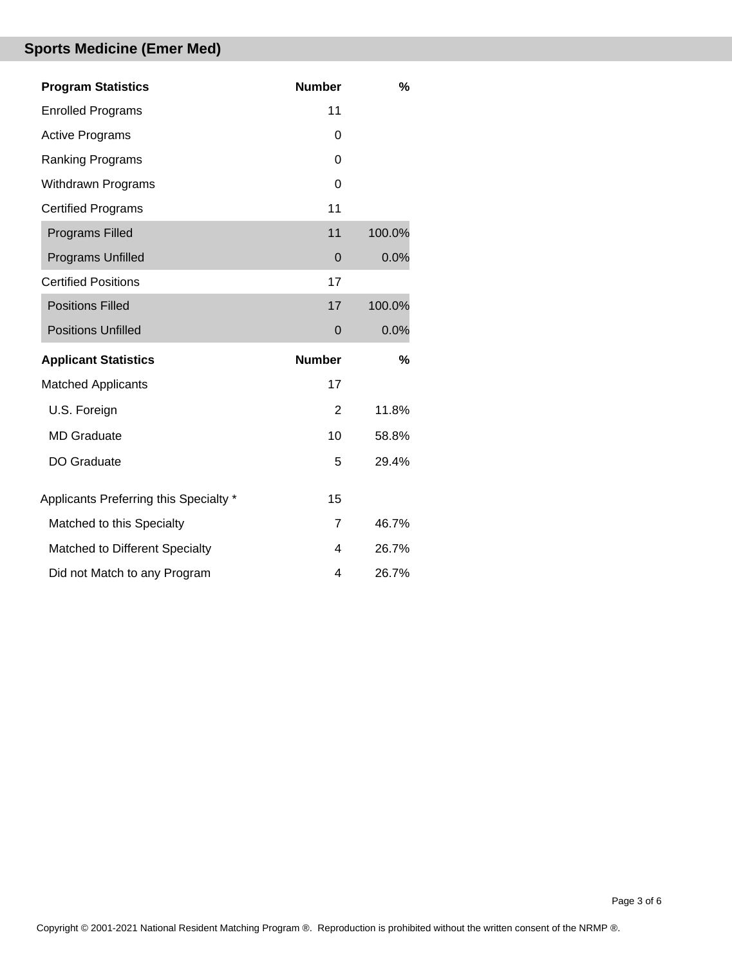# **Sports Medicine (Emer Med)**

| <b>Program Statistics</b>              | <b>Number</b>  | %      |
|----------------------------------------|----------------|--------|
| <b>Enrolled Programs</b>               | 11             |        |
| <b>Active Programs</b>                 | 0              |        |
| Ranking Programs                       | $\Omega$       |        |
| <b>Withdrawn Programs</b>              | $\Omega$       |        |
| <b>Certified Programs</b>              | 11             |        |
| <b>Programs Filled</b>                 | 11             | 100.0% |
| <b>Programs Unfilled</b>               | $\overline{0}$ | 0.0%   |
| <b>Certified Positions</b>             | 17             |        |
| <b>Positions Filled</b>                | 17             | 100.0% |
| <b>Positions Unfilled</b>              | $\mathbf 0$    | 0.0%   |
| <b>Applicant Statistics</b>            | <b>Number</b>  | %      |
| <b>Matched Applicants</b>              | 17             |        |
| U.S. Foreign                           | 2              | 11.8%  |
| <b>MD</b> Graduate                     | 10             | 58.8%  |
| <b>DO Graduate</b>                     | 5              | 29.4%  |
| Applicants Preferring this Specialty * | 15             |        |
| Matched to this Specialty              | $\overline{7}$ | 46.7%  |
| Matched to Different Specialty         | 4              | 26.7%  |
| Did not Match to any Program           | 4              | 26.7%  |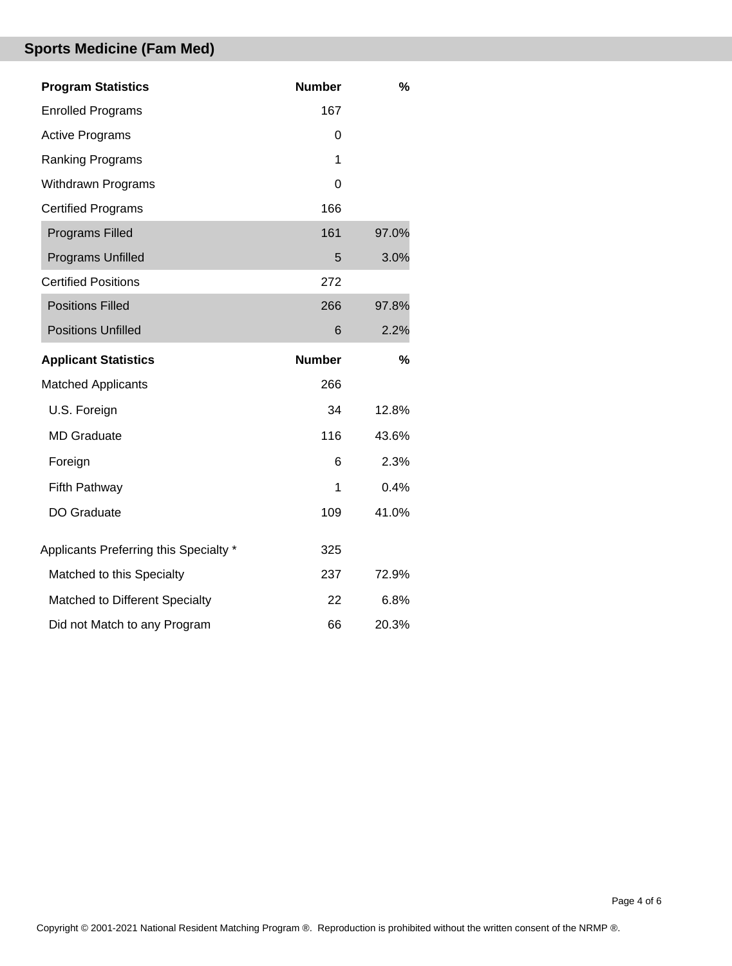# **Sports Medicine (Fam Med)**

| <b>Program Statistics</b>              | <b>Number</b> | $\%$          |
|----------------------------------------|---------------|---------------|
| <b>Enrolled Programs</b>               | 167           |               |
| <b>Active Programs</b>                 | 0             |               |
| Ranking Programs                       | 1             |               |
| Withdrawn Programs                     | 0             |               |
| <b>Certified Programs</b>              | 166           |               |
| <b>Programs Filled</b>                 | 161           | 97.0%         |
| Programs Unfilled                      | 5             | 3.0%          |
| <b>Certified Positions</b>             | 272           |               |
| <b>Positions Filled</b>                | 266           | 97.8%         |
| <b>Positions Unfilled</b>              | 6             | 2.2%          |
| <b>Applicant Statistics</b>            | <b>Number</b> | $\frac{0}{0}$ |
| <b>Matched Applicants</b>              | 266           |               |
| U.S. Foreign                           | 34            | 12.8%         |
| <b>MD Graduate</b>                     | 116           | 43.6%         |
| Foreign                                | 6             | 2.3%          |
| Fifth Pathway                          | 1             | 0.4%          |
| DO Graduate                            | 109           | 41.0%         |
| Applicants Preferring this Specialty * | 325           |               |
|                                        |               |               |
| Matched to this Specialty              | 237           | 72.9%         |
| Matched to Different Specialty         | 22            | 6.8%          |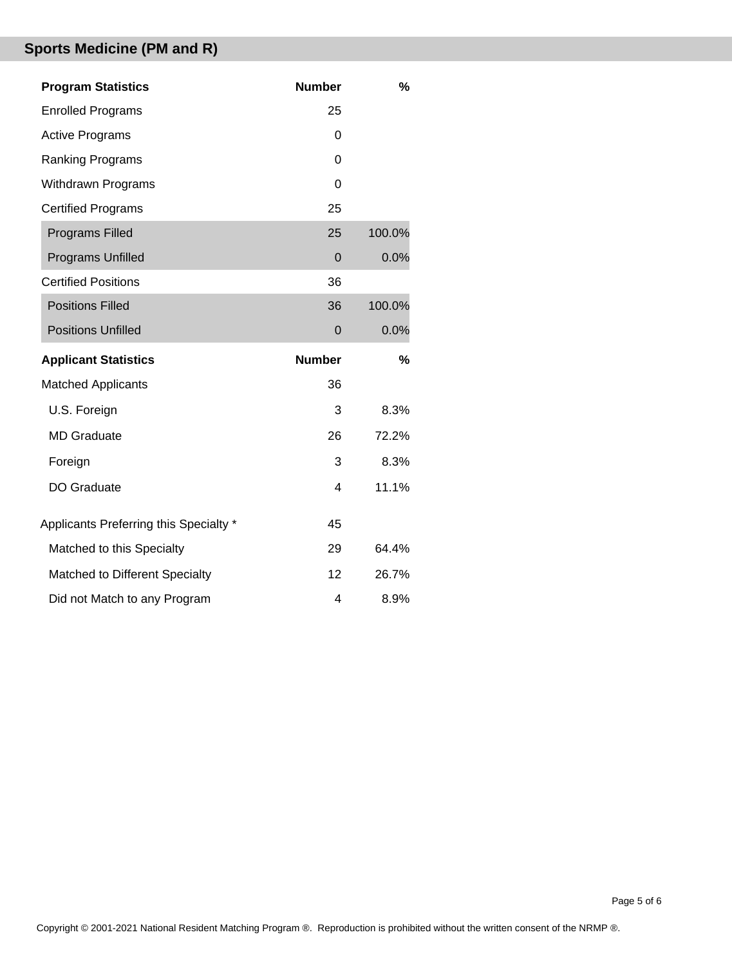# **Sports Medicine (PM and R)**

| <b>Program Statistics</b>              | <b>Number</b>            | %      |
|----------------------------------------|--------------------------|--------|
| <b>Enrolled Programs</b>               | 25                       |        |
| <b>Active Programs</b>                 | 0                        |        |
| <b>Ranking Programs</b>                | 0                        |        |
| Withdrawn Programs                     | $\Omega$                 |        |
| <b>Certified Programs</b>              | 25                       |        |
| <b>Programs Filled</b>                 | 25                       | 100.0% |
| <b>Programs Unfilled</b>               | $\mathbf 0$              | 0.0%   |
| <b>Certified Positions</b>             | 36                       |        |
| <b>Positions Filled</b>                | 36                       | 100.0% |
| <b>Positions Unfilled</b>              | $\mathbf 0$              | 0.0%   |
|                                        |                          |        |
| <b>Applicant Statistics</b>            | <b>Number</b>            | %      |
| <b>Matched Applicants</b>              | 36                       |        |
| U.S. Foreign                           | 3                        | 8.3%   |
| <b>MD</b> Graduate                     | 26                       | 72.2%  |
| Foreign                                | 3                        | 8.3%   |
| DO Graduate                            | $\overline{\mathcal{A}}$ | 11.1%  |
| Applicants Preferring this Specialty * | 45                       |        |
| Matched to this Specialty              | 29                       | 64.4%  |
| Matched to Different Specialty         | 12                       | 26.7%  |